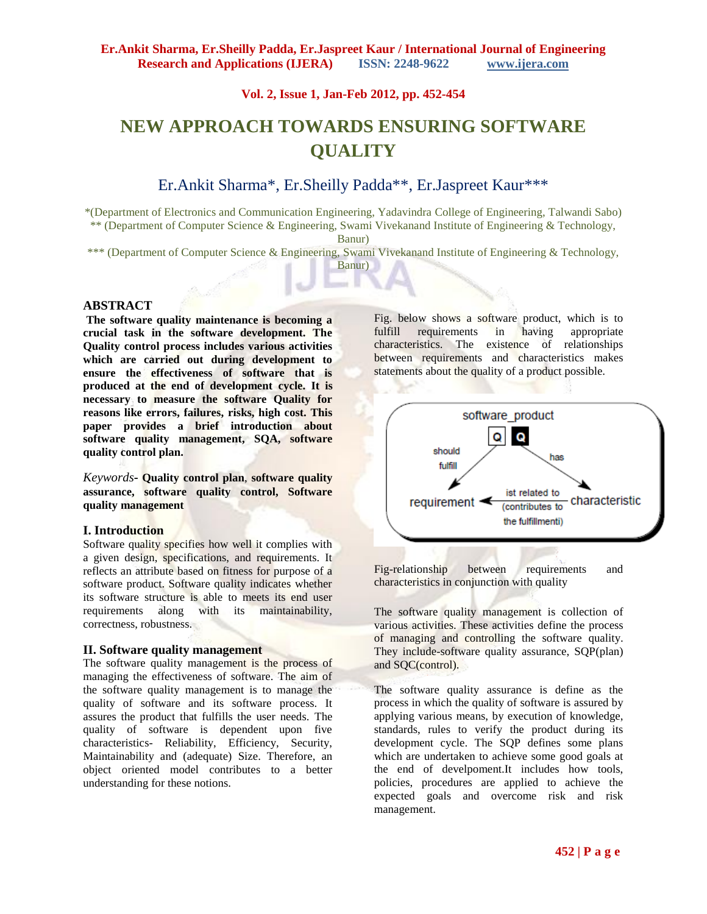**Vol. 2, Issue 1, Jan-Feb 2012, pp. 452-454**

# **NEW APPROACH TOWARDS ENSURING SOFTWARE QUALITY**

## Er.Ankit Sharma\*, Er.Sheilly Padda\*\*, Er.Jaspreet Kaur\*\*\*

\*(Department of Electronics and Communication Engineering, Yadavindra College of Engineering, Talwandi Sabo) \*\* (Department of Computer Science & Engineering, Swami Vivekanand Institute of Engineering & Technology,

Banur)

\*\*\* (Department of Computer Science & Engineering, Swami Vivekanand Institute of Engineering & Technology,

Banur)

#### **ABSTRACT**

**The software quality maintenance is becoming a crucial task in the software development. The Quality control process includes various activities which are carried out during development to ensure the effectiveness of software that is produced at the end of development cycle. It is necessary to measure the software Quality for reasons like errors, failures, risks, high cost. This paper provides a brief introduction about software quality management, SQA, software quality control plan.**

*Keywords***- Quality control plan**, **software quality assurance, software quality control, Software quality management**

#### **I. Introduction**

Software quality specifies how well it complies with a given design, specifications, and requirements. It reflects an attribute based on fitness for purpose of a software product. Software quality indicates whether its software structure is able to meets its end user requirements along with its maintainability, correctness, robustness.

#### **II. Software quality management**

The software quality management is the process of managing the effectiveness of software. The aim of the software quality management is to manage the quality of software and its software process. It assures the product that fulfills the user needs. The quality of software is dependent upon five characteristics- Reliability, Efficiency, Security, Maintainability and (adequate) Size. Therefore, an object oriented model contributes to a better understanding for these notions.

Fig. below shows a software product, which is to fulfill requirements in having appropriate characteristics. The existence of relationships between requirements and characteristics makes statements about the quality of a product possible.



Fig-relationship between requirements and characteristics in conjunction with quality

The software quality management is collection of various activities. These activities define the process of managing and controlling the software quality. They include-software quality assurance, SQP(plan) and SQC(control).

The software quality assurance is define as the process in which the quality of software is assured by applying various means, by execution of knowledge, standards, rules to verify the product during its development cycle. The SQP defines some plans which are undertaken to achieve some good goals at the end of develpoment.It includes how tools, policies, procedures are applied to achieve the expected goals and overcome risk and risk management.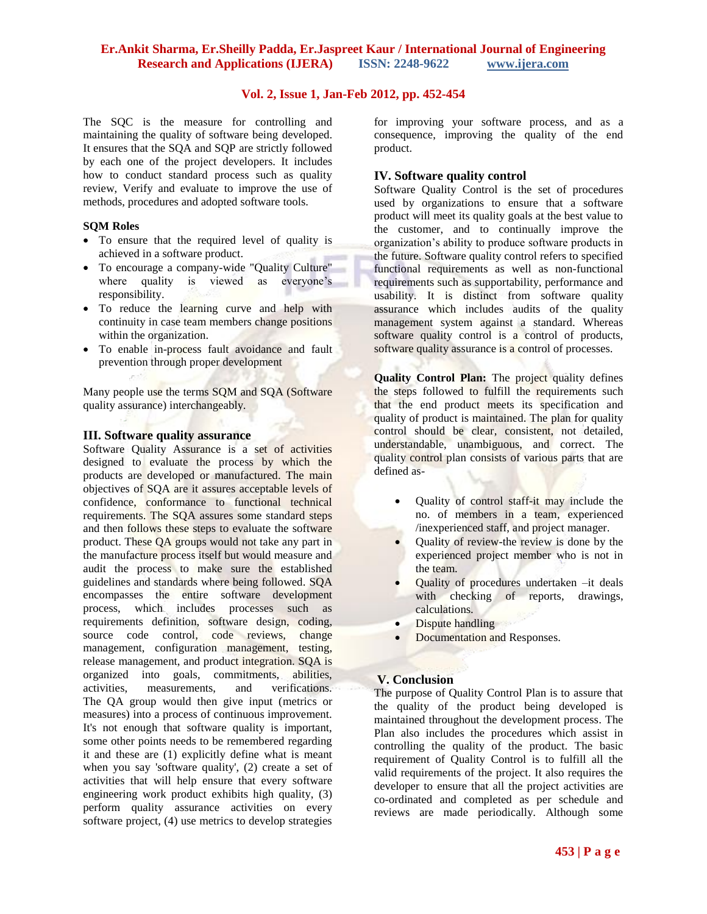### **Er.Ankit Sharma, Er.Sheilly Padda, Er.Jaspreet Kaur / International Journal of Engineering Research and Applications (IJERA) ISSN: 2248-9622 www.ijera.com**

## **Vol. 2, Issue 1, Jan-Feb 2012, pp. 452-454**

The SQC is the measure for controlling and maintaining the quality of software being developed. It ensures that the SQA and SQP are strictly followed by each one of the project developers. It includes how to conduct standard process such as quality review, Verify and evaluate to improve the use of methods, procedures and adopted software tools.

#### **SQM Roles**

- To ensure that the required level of quality is achieved in a software product.
- To encourage a company-wide "Quality Culture" where quality is viewed as everyone's responsibility.
- To reduce the learning curve and help with continuity in case team members change positions within the organization.
- To enable in-process fault avoidance and fault prevention through proper development

Many people use the terms SQM and SQA [\(Software](http://en.wikipedia.org/wiki/Software_quality_assurance)  [quality assurance\)](http://en.wikipedia.org/wiki/Software_quality_assurance) interchangeably.

## **III. Software quality assurance**

Software Quality Assurance is a set of activities designed to evaluate the process by which the products are developed or manufactured. The main objectives of SQA are it assures acceptable levels of confidence, conformance to functional technical requirements. The SQA assures some standard steps and then follows these steps to evaluate the software product. These QA groups would not take any part in the manufacture process itself but would measure and audit the process to make sure the established guidelines and standards where being followed. SQA encompasses the entire [software development](http://en.wikipedia.org/wiki/Software_development) process, which includes processes such as requirements definition, [software design,](http://en.wikipedia.org/wiki/Software_design) [coding,](http://en.wikipedia.org/wiki/Coding) [source code control,](http://en.wikipedia.org/wiki/Revision_control) [code reviews,](http://en.wikipedia.org/wiki/Code_review) [change](http://en.wikipedia.org/wiki/Change_management)  [management,](http://en.wikipedia.org/wiki/Change_management) [configuration management,](http://en.wikipedia.org/wiki/Configuration_management) [testing,](http://en.wikipedia.org/wiki/Software_testing) [release management,](http://en.wikipedia.org/wiki/Release_Management) and product integration. SQA is organized into goals, commitments, abilities, activities, measurements, and verifications. The QA group would then give input [\(metrics or](http://www.sqa.net/softwarequalitymetrics.html) [measures\)](http://www.sqa.net/softwarequalitymetrics.html) into a process of continuous improvement. It's not enough that software quality is important, some other points needs to be remembered regarding it and these are (1) explicitly define what is meant when you say 'software quality', (2) create a set of activities that will help ensure that every software engineering work product exhibits high quality, (3) perform quality assurance activities on every software project, (4) use metrics to develop strategies

for improving your software process, and as a consequence, improving the quality of the end product.

#### **IV. Software quality control**

Software Quality Control is the set of procedures used by organizations to ensure that a software product will meet its quality goals at the best value to the customer, and to continually improve the organization's ability to produce software products in the future. Software quality control refers to specified functional requirements as well as non-functional requirements such as supportability, performance and usability. It is distinct from software [quality](http://en.wikipedia.org/wiki/Quality_assurance)  [assurance](http://en.wikipedia.org/wiki/Quality_assurance) which includes [audits](http://en.wikipedia.org/wiki/Audits) of the quality management system against a standard. Whereas software quality control is a control of products, software quality assurance is a control of processes.

**Quality Control Plan:** The project quality defines the steps followed to fulfill the requirements such that the end product meets its specification and quality of product is maintained. The plan for quality control should be clear, consistent, not detailed, understandable, unambiguous, and correct. The quality control plan consists of various parts that are defined as-

- Quality of control staff-it may include the no. of members in a team, experienced /inexperienced staff, and project manager.
- Quality of review-the review is done by the experienced project member who is not in the team.
- Quality of procedures undertaken –it deals with checking of reports, drawings, calculations.
- Dispute handling
- Documentation and Responses.

## **V. Conclusion**

The purpose of Quality Control Plan is to assure that the quality of the product being developed is maintained throughout the development process. The Plan also includes the procedures which assist in controlling the quality of the product. The basic requirement of Quality Control is to fulfill all the valid requirements of the project. It also requires the developer to ensure that all the project activities are co-ordinated and completed as per schedule and reviews are made periodically. Although some